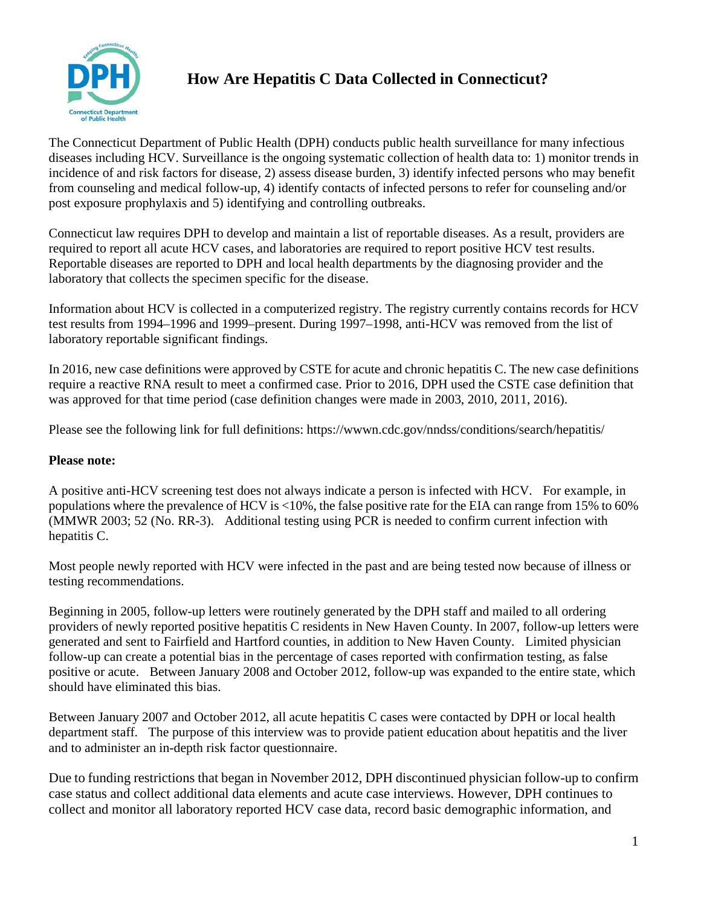

## **How Are Hepatitis C Data Collected in Connecticut?**

The Connecticut Department of Public Health (DPH) conducts public health surveillance for many infectious diseases including HCV. Surveillance is the ongoing systematic collection of health data to: 1) monitor trends in incidence of and risk factors for disease, 2) assess disease burden, 3) identify infected persons who may benefit from counseling and medical follow-up, 4) identify contacts of infected persons to refer for counseling and/or post exposure prophylaxis and 5) identifying and controlling outbreaks.

Connecticut law requires DPH to develop and maintain a list of reportable diseases. As a result, providers are required to report all acute HCV cases, and laboratories are required to report positive HCV test results. Reportable diseases are reported to DPH and local health departments by the diagnosing provider and the laboratory that collects the specimen specific for the disease.

Information about HCV is collected in a computerized registry. The registry currently contains records for HCV test results from 1994–1996 and 1999–present. During 1997–1998, anti-HCV was removed from the list of laboratory reportable significant findings.

In 2016, new case definitions were approved by CSTE for acute and chronic hepatitis C. The new case definitions require a reactive RNA result to meet a confirmed case. Prior to 2016, DPH used the CSTE case definition that was approved for that time period (case definition changes were made in 2003, 2010, 2011, 2016).

Please see the following link for full definitions: <https://wwwn.cdc.gov/nndss/conditions/search/hepatitis/>

## **Please note:**

A positive anti-HCV screening test does not always indicate a person is infected with HCV. For example, in populations where the prevalence of HCV is <10%, the false positive rate for the EIA can range from 15% to 60% (MMWR 2003; 52 (No. RR-3). Additional testing using PCR is needed to confirm current infection with hepatitis C.

Most people newly reported with HCV were infected in the past and are being tested now because of illness or testing recommendations.

Beginning in 2005, follow-up letters were routinely generated by the DPH staff and mailed to all ordering providers of newly reported positive hepatitis C residents in New Haven County. In 2007, follow-up letters were generated and sent to Fairfield and Hartford counties, in addition to New Haven County. Limited physician follow-up can create a potential bias in the percentage of cases reported with confirmation testing, as false positive or acute. Between January 2008 and October 2012, follow-up was expanded to the entire state, which should have eliminated this bias.

Between January 2007 and October 2012, all acute hepatitis C cases were contacted by DPH or local health department staff. The purpose of this interview was to provide patient education about hepatitis and the liver and to administer an in-depth risk factor questionnaire.

Due to funding restrictions that began in November 2012, DPH discontinued physician follow-up to confirm case status and collect additional data elements and acute case interviews. However, DPH continues to collect and monitor all laboratory reported HCV case data, record basic demographic information, and